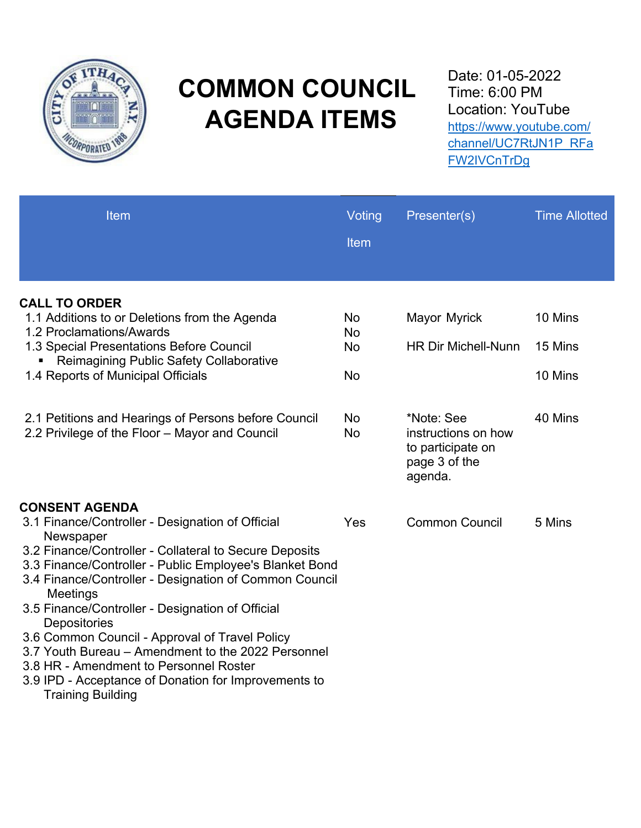

# **COMMON COUNCIL AGENDA ITEMS**

Date: 01-05-2022 Time: 6:00 PM Location: YouTube https://www.youtube.com/ [channel/UC7RtJN1P\\_RFa](https://www.youtube.com/channel/UC7RtJN1P_RFaFW2IVCnTrDg) FW2IVCnTrDg

| Item                                                                                                                          | Voting<br>Item         | Presenter(s)                                                                       | <b>Time Allotted</b> |
|-------------------------------------------------------------------------------------------------------------------------------|------------------------|------------------------------------------------------------------------------------|----------------------|
| <b>CALL TO ORDER</b>                                                                                                          |                        |                                                                                    |                      |
| 1.1 Additions to or Deletions from the Agenda                                                                                 | <b>No</b>              | Mayor Myrick                                                                       | 10 Mins              |
| 1.2 Proclamations/Awards                                                                                                      | <b>No</b>              |                                                                                    |                      |
| 1.3 Special Presentations Before Council<br>Reimagining Public Safety Collaborative                                           | <b>No</b>              | <b>HR Dir Michell-Nunn</b>                                                         | 15 Mins              |
| 1.4 Reports of Municipal Officials                                                                                            | <b>No</b>              |                                                                                    | 10 Mins              |
|                                                                                                                               |                        |                                                                                    |                      |
| 2.1 Petitions and Hearings of Persons before Council<br>2.2 Privilege of the Floor - Mayor and Council                        | <b>No</b><br><b>No</b> | *Note: See<br>instructions on how<br>to participate on<br>page 3 of the<br>agenda. | 40 Mins              |
| <b>CONSENT AGENDA</b>                                                                                                         |                        |                                                                                    |                      |
| 3.1 Finance/Controller - Designation of Official<br>Newspaper                                                                 | Yes                    | <b>Common Council</b>                                                              | 5 Mins               |
| 3.2 Finance/Controller - Collateral to Secure Deposits                                                                        |                        |                                                                                    |                      |
| 3.3 Finance/Controller - Public Employee's Blanket Bond<br>3.4 Finance/Controller - Designation of Common Council<br>Meetings |                        |                                                                                    |                      |
| 3.5 Finance/Controller - Designation of Official<br>Depositories                                                              |                        |                                                                                    |                      |
| 3.6 Common Council - Approval of Travel Policy                                                                                |                        |                                                                                    |                      |
| 3.7 Youth Bureau – Amendment to the 2022 Personnel                                                                            |                        |                                                                                    |                      |
| 3.8 HR - Amendment to Personnel Roster                                                                                        |                        |                                                                                    |                      |
| 3.9 IPD - Acceptance of Donation for Improvements to<br><b>Training Building</b>                                              |                        |                                                                                    |                      |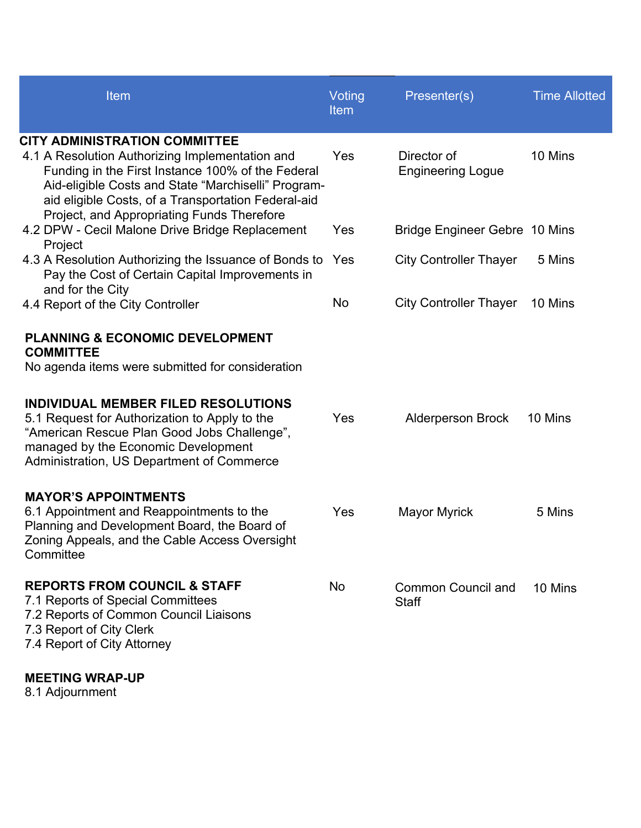| Item                                                                                                                                                                                                                                                                                                                                          | Voting<br><b>Item</b> | Presenter(s)                            | <b>Time Allotted</b> |
|-----------------------------------------------------------------------------------------------------------------------------------------------------------------------------------------------------------------------------------------------------------------------------------------------------------------------------------------------|-----------------------|-----------------------------------------|----------------------|
| <b>CITY ADMINISTRATION COMMITTEE</b><br>4.1 A Resolution Authorizing Implementation and<br>Funding in the First Instance 100% of the Federal<br>Aid-eligible Costs and State "Marchiselli" Program-<br>aid eligible Costs, of a Transportation Federal-aid<br>Project, and Appropriating Funds Therefore                                      | Yes                   | Director of<br><b>Engineering Logue</b> | 10 Mins              |
| 4.2 DPW - Cecil Malone Drive Bridge Replacement                                                                                                                                                                                                                                                                                               | Yes                   | Bridge Engineer Gebre 10 Mins           |                      |
| Project<br>4.3 A Resolution Authorizing the Issuance of Bonds to<br>Pay the Cost of Certain Capital Improvements in                                                                                                                                                                                                                           | Yes                   | <b>City Controller Thayer</b>           | 5 Mins               |
| and for the City<br>4.4 Report of the City Controller                                                                                                                                                                                                                                                                                         | No                    | <b>City Controller Thayer</b>           | 10 Mins              |
| <b>PLANNING &amp; ECONOMIC DEVELOPMENT</b><br><b>COMMITTEE</b><br>No agenda items were submitted for consideration<br>INDIVIDUAL MEMBER FILED RESOLUTIONS<br>5.1 Request for Authorization to Apply to the<br>"American Rescue Plan Good Jobs Challenge",<br>managed by the Economic Development<br>Administration, US Department of Commerce | Yes                   | <b>Alderperson Brock</b>                | 10 Mins              |
| <b>MAYOR'S APPOINTMENTS</b><br>6.1 Appointment and Reappointments to the<br>Planning and Development Board, the Board of<br>Zoning Appeals, and the Cable Access Oversight<br>Committee                                                                                                                                                       | Yes                   | <b>Mayor Myrick</b>                     | 5 Mins               |
| <b>REPORTS FROM COUNCIL &amp; STAFF</b><br>7.1 Reports of Special Committees<br>7.2 Reports of Common Council Liaisons<br>7.3 Report of City Clerk<br>7.4 Report of City Attorney                                                                                                                                                             | No                    | Common Council and<br><b>Staff</b>      | 10 Mins              |
| <b>MEETING WRAP-UP</b><br>8.1 Adjournment                                                                                                                                                                                                                                                                                                     |                       |                                         |                      |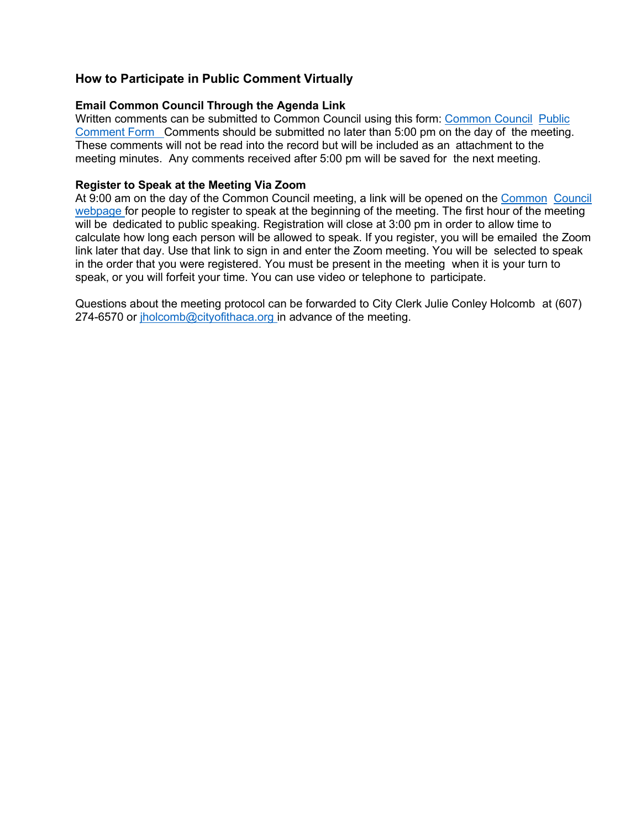#### **How to Participate in Public Comment Virtually**

#### **Email Common Council Through the Agenda Link**

[Written comments can be submitted to Common Council using this form: Common Council Public](http://www.cityofithaca.org/FormCenter/Common-Council-16/Common-Council-Public-Comment-Form-95) Comment Form Comments should be submitted no later than 5:00 pm on the day of the meeting. These comments will not be read into the record but will be included as an attachment to the meeting minutes. Any comments received after 5:00 pm will be saved for the next meeting.

#### **Register to Speak at the Meeting Via Zoom**

[At 9:00 am on the day of the Common Council meeting, a link will be opened on the Common Council](http://www.cityofithaca.org/341/Common-Council) webpage for people to register to speak at the beginning of the meeting. The first hour of the meeting will be dedicated to public speaking. Registration will close at 3:00 pm in order to allow time to calculate how long each person will be allowed to speak. If you register, you will be emailed the Zoom link later that day. Use that link to sign in and enter the Zoom meeting. You will be selected to speak in the order that you were registered. You must be present in the meeting when it is your turn to speak, or you will forfeit your time. You can use video or telephone to participate.

Questions about the meeting protocol can be forwarded to City Clerk Julie Conley Holcomb at (607) 274-6570 or jholcomb@cityofithaca.org in advance of the meeting.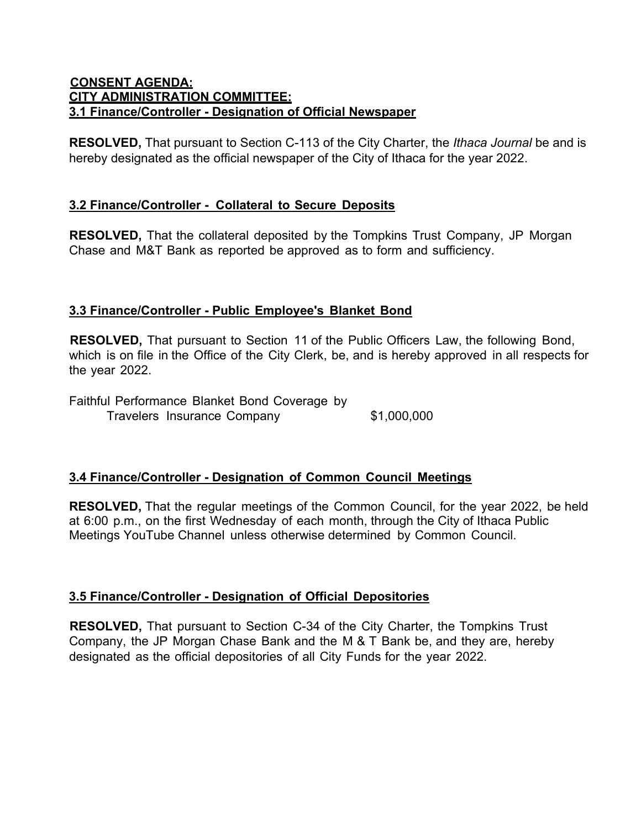#### **CONSENT AGENDA: CITY ADMINISTRATION COMMITTEE: 3.1 Finance/Controller - Designation of Official Newspaper**

**RESOLVED,** That pursuant to Section C-113 of the City Charter, the *Ithaca Journal* be and is hereby designated as the official newspaper of the City of Ithaca for the year 2022.

### **3.2 Finance/Controller - Collateral to Secure Deposits**

**RESOLVED,** That the collateral deposited by the Tompkins Trust Company, JP Morgan Chase and M&T Bank as reported be approved as to form and sufficiency.

# **3.3 Finance/Controller - Public Employee's Blanket Bond**

**RESOLVED,** That pursuant to Section 11 of the Public Officers Law, the following Bond, which is on file in the Office of the City Clerk, be, and is hereby approved in all respects for the year 2022.

Faithful Performance Blanket Bond Coverage by Travelers Insurance Company \$1,000,000

# **3.4 Finance/Controller - Designation of Common Council Meetings**

**RESOLVED,** That the regular meetings of the Common Council, for the year 2022, be held at 6:00 p.m., on the first Wednesday of each month, through the City of Ithaca Public Meetings YouTube Channel unless otherwise determined by Common Council.

#### **3.5 Finance/Controller - Designation of Official Depositories**

**RESOLVED,** That pursuant to Section C-34 of the City Charter, the Tompkins Trust Company, the JP Morgan Chase Bank and the M & T Bank be, and they are, hereby designated as the official depositories of all City Funds for the year 2022.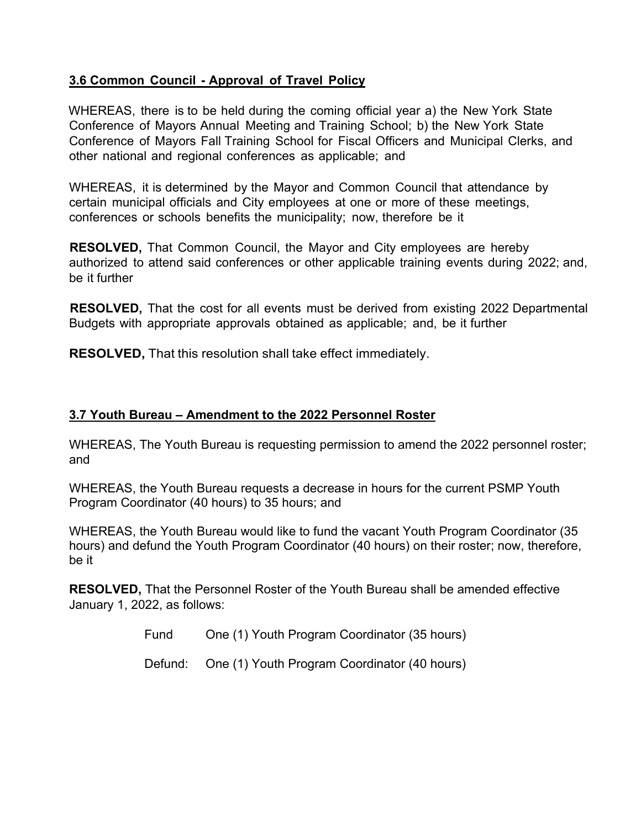# **3.6 Common Council - Approval of Travel Policy**

WHEREAS, there is to be held during the coming official year a) the New York State Conference of Mayors Annual Meeting and Training School; b) the New York State Conference of Mayors Fall Training School for Fiscal Officers and Municipal Clerks, and other national and regional conferences as applicable; and

WHEREAS, it is determined by the Mayor and Common Council that attendance by certain municipal officials and City employees at one or more of these meetings, conferences or schools benefits the municipality; now, therefore be it

**RESOLVED,** That Common Council, the Mayor and City employees are hereby authorized to attend said conferences or other applicable training events during 2022; and, be it further

**RESOLVED,** That the cost for all events must be derived from existing 2022 Departmental Budgets with appropriate approvals obtained as applicable; and, be it further

**RESOLVED,** That this resolution shall take effect immediately.

#### **3.7 Youth Bureau – Amendment to the 2022 Personnel Roster**

WHEREAS, The Youth Bureau is requesting permission to amend the 2022 personnel roster; and

WHEREAS, the Youth Bureau requests a decrease in hours for the current PSMP Youth Program Coordinator (40 hours) to 35 hours; and

WHEREAS, the Youth Bureau would like to fund the vacant Youth Program Coordinator (35 hours) and defund the Youth Program Coordinator (40 hours) on their roster; now, therefore, be it

**RESOLVED,** That the Personnel Roster of the Youth Bureau shall be amended effective January 1, 2022, as follows:

Fund One (1) Youth Program Coordinator (35 hours)

Defund: One (1) Youth Program Coordinator (40 hours)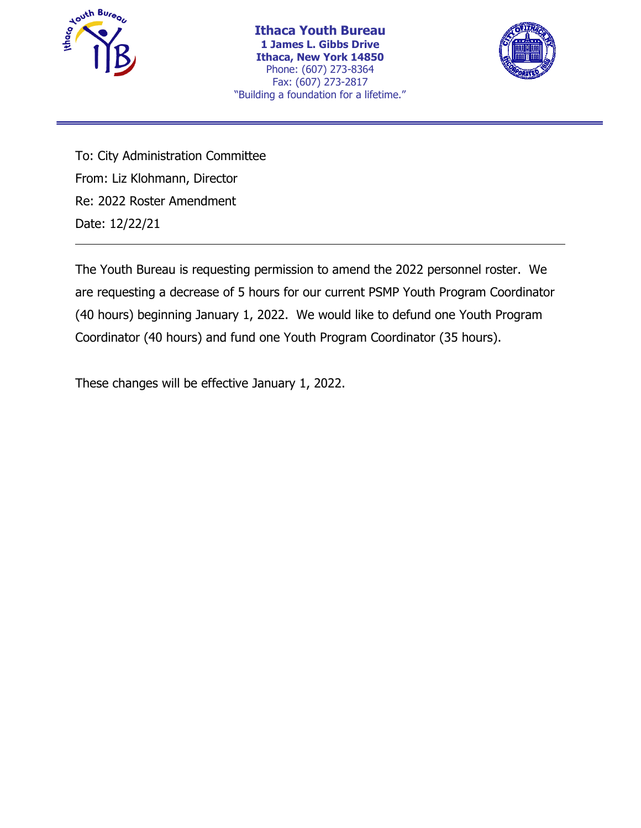



To: City Administration Committee From: Liz Klohmann, Director Re: 2022 Roster Amendment Date: 12/22/21

The Youth Bureau is requesting permission to amend the 2022 personnel roster. We are requesting a decrease of 5 hours for our current PSMP Youth Program Coordinator (40 hours) beginning January 1, 2022. We would like to defund one Youth Program Coordinator (40 hours) and fund one Youth Program Coordinator (35 hours).

These changes will be effective January 1, 2022.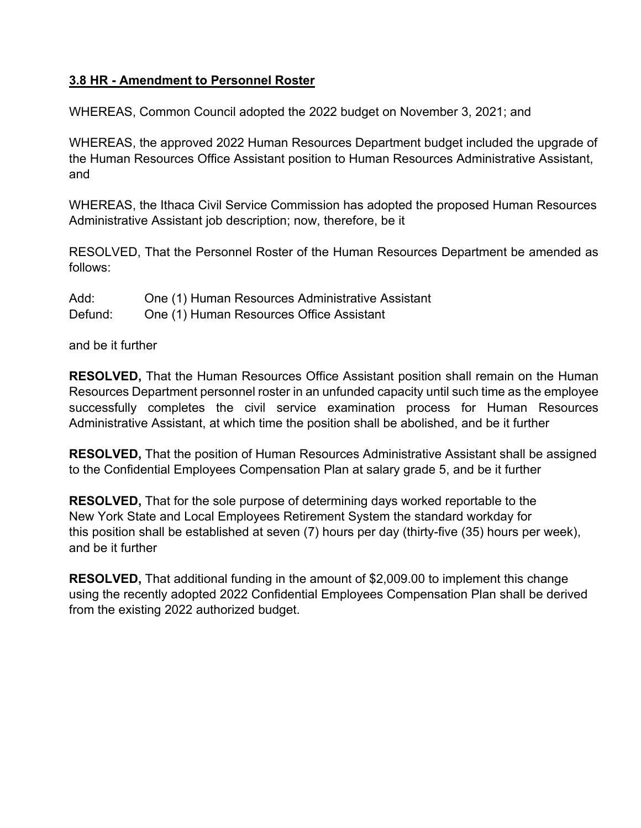# **3.8 HR - Amendment to Personnel Roster**

WHEREAS, Common Council adopted the 2022 budget on November 3, 2021; and

WHEREAS, the approved 2022 Human Resources Department budget included the upgrade of the Human Resources Office Assistant position to Human Resources Administrative Assistant, and

WHEREAS, the Ithaca Civil Service Commission has adopted the proposed Human Resources Administrative Assistant job description; now, therefore, be it

RESOLVED, That the Personnel Roster of the Human Resources Department be amended as follows:

Add: One (1) Human Resources Administrative Assistant Defund: One (1) Human Resources Office Assistant

and be it further

**RESOLVED,** That the Human Resources Office Assistant position shall remain on the Human Resources Department personnel roster in an unfunded capacity until such time as the employee successfully completes the civil service examination process for Human Resources Administrative Assistant, at which time the position shall be abolished, and be it further

**RESOLVED,** That the position of Human Resources Administrative Assistant shall be assigned to the Confidential Employees Compensation Plan at salary grade 5, and be it further

**RESOLVED,** That for the sole purpose of determining days worked reportable to the New York State and Local Employees Retirement System the standard workday for this position shall be established at seven (7) hours per day (thirty-five (35) hours per week), and be it further

**RESOLVED,** That additional funding in the amount of \$2,009.00 to implement this change using the recently adopted 2022 Confidential Employees Compensation Plan shall be derived from the existing 2022 authorized budget.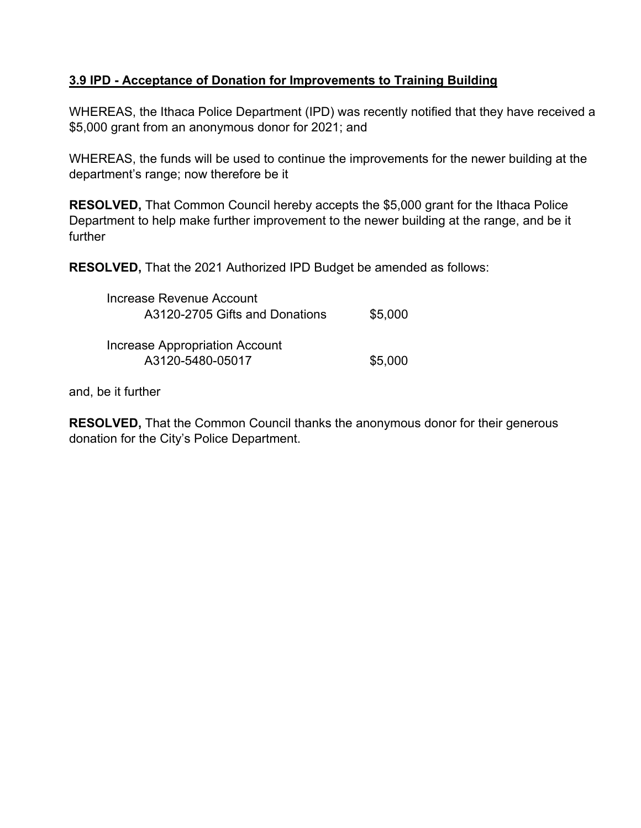# **3.9 IPD - Acceptance of Donation for Improvements to Training Building**

WHEREAS, the Ithaca Police Department (IPD) was recently notified that they have received a \$5,000 grant from an anonymous donor for 2021; and

WHEREAS, the funds will be used to continue the improvements for the newer building at the department's range; now therefore be it

**RESOLVED,** That Common Council hereby accepts the \$5,000 grant for the Ithaca Police Department to help make further improvement to the newer building at the range, and be it further

**RESOLVED,** That the 2021 Authorized IPD Budget be amended as follows:

| Increase Revenue Account<br>A3120-2705 Gifts and Donations | \$5,000 |
|------------------------------------------------------------|---------|
| Increase Appropriation Account<br>A3120-5480-05017         | \$5,000 |

and, be it further

**RESOLVED,** That the Common Council thanks the anonymous donor for their generous donation for the City's Police Department.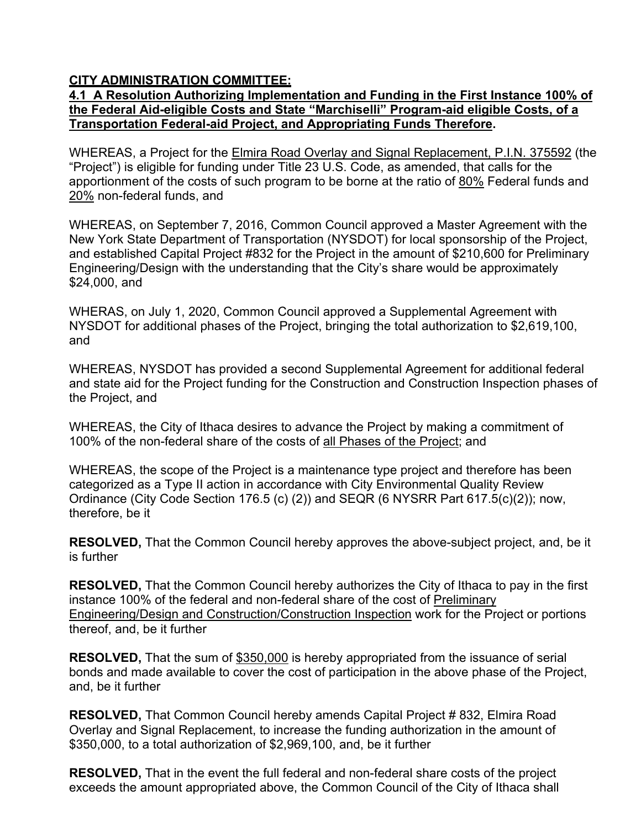# **CITY ADMINISTRATION COMMITTEE:**

#### **4.1 A Resolution Authorizing Implementation and Funding in the First Instance 100% of the Federal Aid-eligible Costs and State "Marchiselli" Program-aid eligible Costs, of a Transportation Federal-aid Project, and Appropriating Funds Therefore.**

WHEREAS, a Project for the Elmira Road Overlay and Signal Replacement, P.I.N. 375592 (the "Project") is eligible for funding under Title 23 U.S. Code, as amended, that calls for the apportionment of the costs of such program to be borne at the ratio of 80% Federal funds and 20% non-federal funds, and

WHEREAS, on September 7, 2016, Common Council approved a Master Agreement with the New York State Department of Transportation (NYSDOT) for local sponsorship of the Project, and established Capital Project #832 for the Project in the amount of \$210,600 for Preliminary Engineering/Design with the understanding that the City's share would be approximately \$24,000, and

WHERAS, on July 1, 2020, Common Council approved a Supplemental Agreement with NYSDOT for additional phases of the Project, bringing the total authorization to \$2,619,100, and

WHEREAS, NYSDOT has provided a second Supplemental Agreement for additional federal and state aid for the Project funding for the Construction and Construction Inspection phases of the Project, and

WHEREAS, the City of Ithaca desires to advance the Project by making a commitment of 100% of the non-federal share of the costs of all Phases of the Project; and

WHEREAS, the scope of the Project is a maintenance type project and therefore has been categorized as a Type II action in accordance with City Environmental Quality Review Ordinance (City Code Section 176.5 (c) (2)) and SEQR (6 NYSRR Part 617.5(c)(2)); now, therefore, be it

**RESOLVED,** That the Common Council hereby approves the above-subject project, and, be it is further

**RESOLVED,** That the Common Council hereby authorizes the City of Ithaca to pay in the first instance 100% of the federal and non-federal share of the cost of Preliminary Engineering/Design and Construction/Construction Inspection work for the Project or portions thereof, and, be it further

**RESOLVED,** That the sum of \$350,000 is hereby appropriated from the issuance of serial bonds and made available to cover the cost of participation in the above phase of the Project, and, be it further

**RESOLVED,** That Common Council hereby amends Capital Project #832, Elmira Road Overlay and Signal Replacement, to increase the funding authorization in the amount of \$350,000, to a total authorization of \$2,969,100, and, be it further

**RESOLVED,** That in the event the full federal and non-federal share costs of the project exceeds the amount appropriated above, the Common Council of the City of Ithaca shall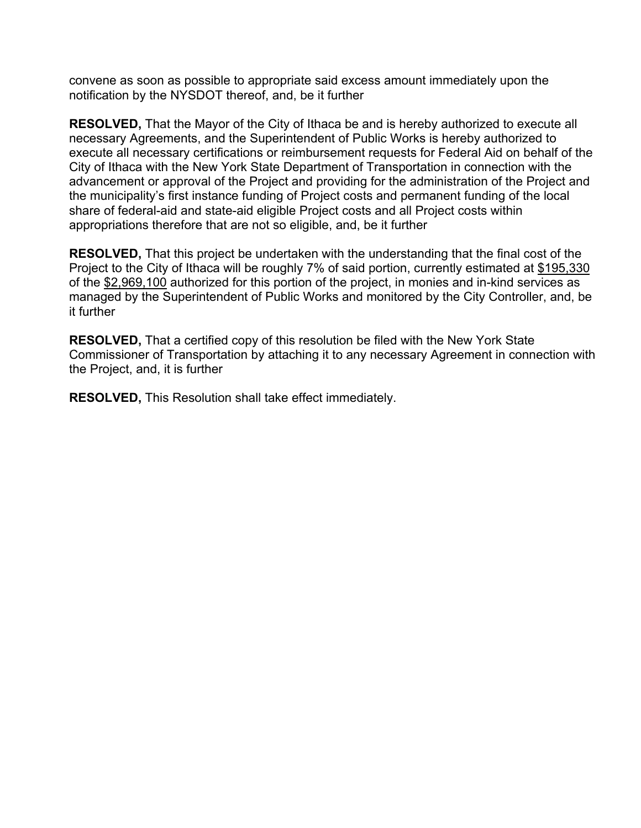convene as soon as possible to appropriate said excess amount immediately upon the notification by the NYSDOT thereof, and, be it further

**RESOLVED,** That the Mayor of the City of Ithaca be and is hereby authorized to execute all necessary Agreements, and the Superintendent of Public Works is hereby authorized to execute all necessary certifications or reimbursement requests for Federal Aid on behalf of the City of Ithaca with the New York State Department of Transportation in connection with the advancement or approval of the Project and providing for the administration of the Project and the municipality's first instance funding of Project costs and permanent funding of the local share of federal-aid and state-aid eligible Project costs and all Project costs within appropriations therefore that are not so eligible, and, be it further

**RESOLVED,** That this project be undertaken with the understanding that the final cost of the Project to the City of Ithaca will be roughly 7% of said portion, currently estimated at \$195,330 of the \$2,969,100 authorized for this portion of the project, in monies and in-kind services as managed by the Superintendent of Public Works and monitored by the City Controller, and, be it further

**RESOLVED,** That a certified copy of this resolution be filed with the New York State Commissioner of Transportation by attaching it to any necessary Agreement in connection with the Project, and, it is further

**RESOLVED,** This Resolution shall take effect immediately.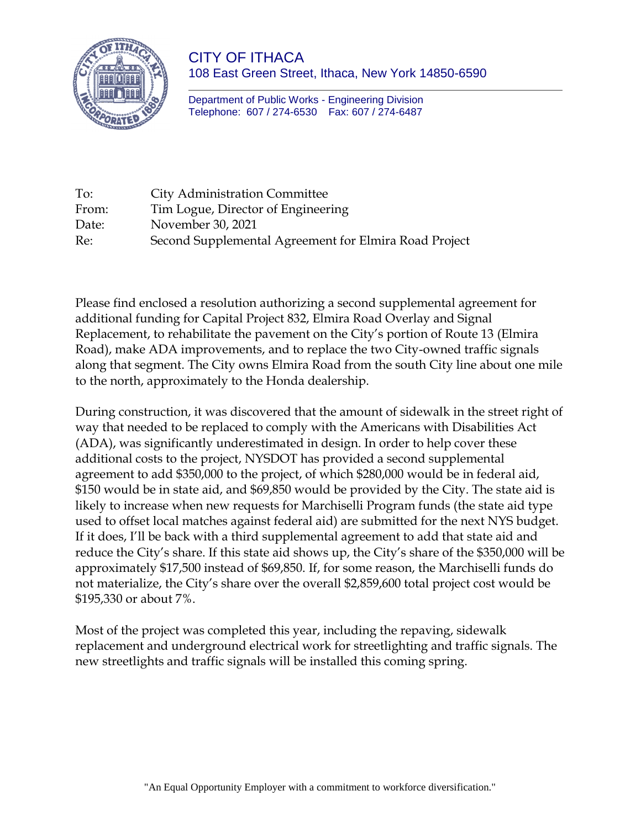

CITY OF ITHACA 108 East Green Street, Ithaca, New York 14850-6590

Department of Public Works - Engineering Division Telephone: 607 / 274-6530 Fax: 607 / 274-6487

| To:   | <b>City Administration Committee</b>                  |
|-------|-------------------------------------------------------|
| From: | Tim Logue, Director of Engineering                    |
| Date: | November 30, 2021                                     |
| Re:   | Second Supplemental Agreement for Elmira Road Project |

Please find enclosed a resolution authorizing a second supplemental agreement for additional funding for Capital Project 832, Elmira Road Overlay and Signal Replacement, to rehabilitate the pavement on the City's portion of Route 13 (Elmira Road), make ADA improvements, and to replace the two City-owned traffic signals along that segment. The City owns Elmira Road from the south City line about one mile to the north, approximately to the Honda dealership.

During construction, it was discovered that the amount of sidewalk in the street right of way that needed to be replaced to comply with the Americans with Disabilities Act (ADA), was significantly underestimated in design. In order to help cover these additional costs to the project, NYSDOT has provided a second supplemental agreement to add \$350,000 to the project, of which \$280,000 would be in federal aid, \$150 would be in state aid, and \$69,850 would be provided by the City. The state aid is likely to increase when new requests for Marchiselli Program funds (the state aid type used to offset local matches against federal aid) are submitted for the next NYS budget. If it does, I'll be back with a third supplemental agreement to add that state aid and reduce the City's share. If this state aid shows up, the City's share of the \$350,000 will be approximately \$17,500 instead of \$69,850. If, for some reason, the Marchiselli funds do not materialize, the City's share over the overall \$2,859,600 total project cost would be \$195,330 or about 7%.

Most of the project was completed this year, including the repaving, sidewalk replacement and underground electrical work for streetlighting and traffic signals. The new streetlights and traffic signals will be installed this coming spring.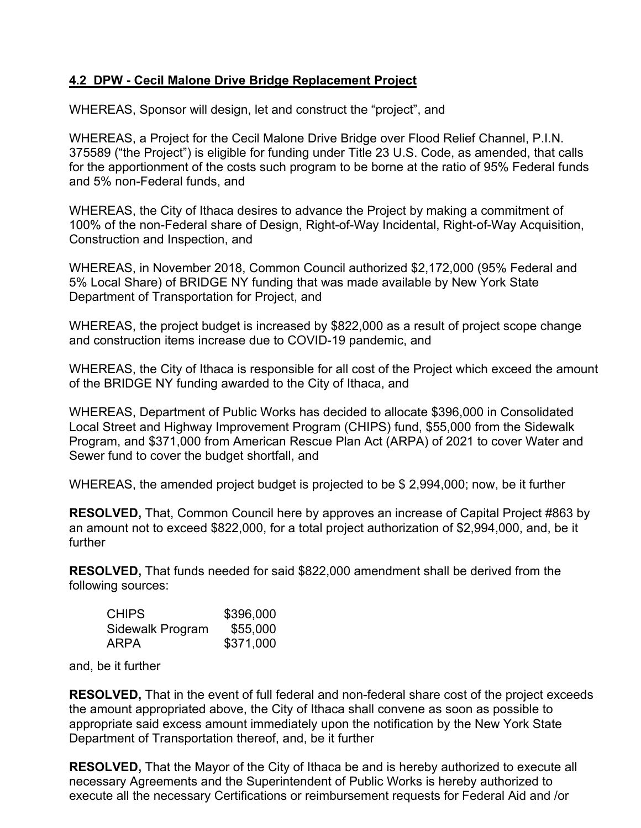# **4.2 DPW - Cecil Malone Drive Bridge Replacement Project**

WHEREAS, Sponsor will design, let and construct the "project", and

WHEREAS, a Project for the Cecil Malone Drive Bridge over Flood Relief Channel, P.I.N. 375589 ("the Project") is eligible for funding under Title 23 U.S. Code, as amended, that calls for the apportionment of the costs such program to be borne at the ratio of 95% Federal funds and 5% non-Federal funds, and

WHEREAS, the City of Ithaca desires to advance the Project by making a commitment of 100% of the non-Federal share of Design, Right-of-Way Incidental, Right-of-Way Acquisition, Construction and Inspection, and

WHEREAS, in November 2018, Common Council authorized \$2,172,000 (95% Federal and 5% Local Share) of BRIDGE NY funding that was made available by New York State Department of Transportation for Project, and

WHEREAS, the project budget is increased by \$822,000 as a result of project scope change and construction items increase due to COVID-19 pandemic, and

WHEREAS, the City of Ithaca is responsible for all cost of the Project which exceed the amount of the BRIDGE NY funding awarded to the City of Ithaca, and

WHEREAS, Department of Public Works has decided to allocate \$396,000 in Consolidated Local Street and Highway Improvement Program (CHIPS) fund, \$55,000 from the Sidewalk Program, and \$371,000 from American Rescue Plan Act (ARPA) of 2021 to cover Water and Sewer fund to cover the budget shortfall, and

WHEREAS, the amended project budget is projected to be \$ 2,994,000; now, be it further

**RESOLVED,** That, Common Council here by approves an increase of Capital Project #863 by an amount not to exceed \$822,000, for a total project authorization of \$2,994,000, and, be it further

**RESOLVED,** That funds needed for said \$822,000 amendment shall be derived from the following sources:

| <b>CHIPS</b>     | \$396,000 |
|------------------|-----------|
| Sidewalk Program | \$55,000  |
| ARPA             | \$371,000 |

and, be it further

**RESOLVED,** That in the event of full federal and non-federal share cost of the project exceeds the amount appropriated above, the City of Ithaca shall convene as soon as possible to appropriate said excess amount immediately upon the notification by the New York State Department of Transportation thereof, and, be it further

**RESOLVED,** That the Mayor of the City of Ithaca be and is hereby authorized to execute all necessary Agreements and the Superintendent of Public Works is hereby authorized to execute all the necessary Certifications or reimbursement requests for Federal Aid and /or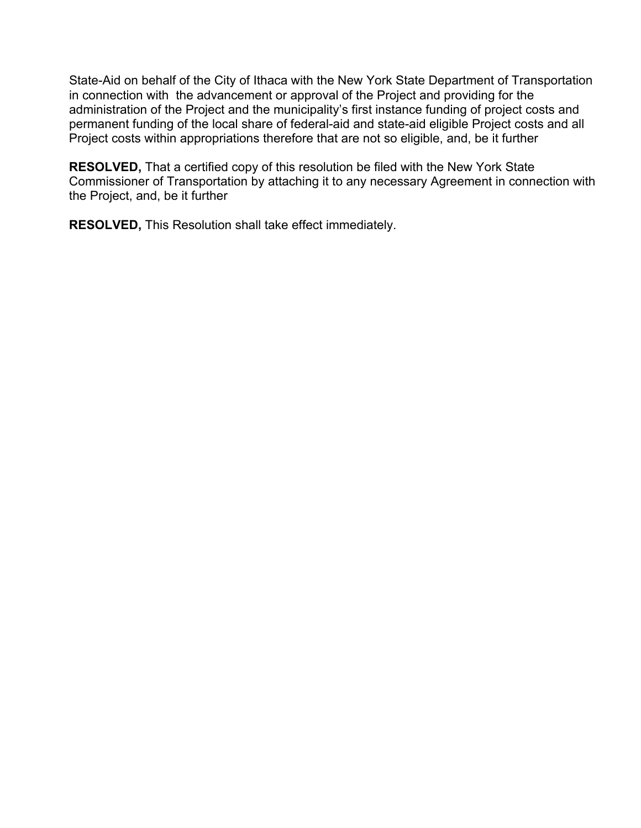State-Aid on behalf of the City of Ithaca with the New York State Department of Transportation in connection with the advancement or approval of the Project and providing for the administration of the Project and the municipality's first instance funding of project costs and permanent funding of the local share of federal-aid and state-aid eligible Project costs and all Project costs within appropriations therefore that are not so eligible, and, be it further

**RESOLVED,** That a certified copy of this resolution be filed with the New York State Commissioner of Transportation by attaching it to any necessary Agreement in connection with the Project, and, be it further

**RESOLVED,** This Resolution shall take effect immediately.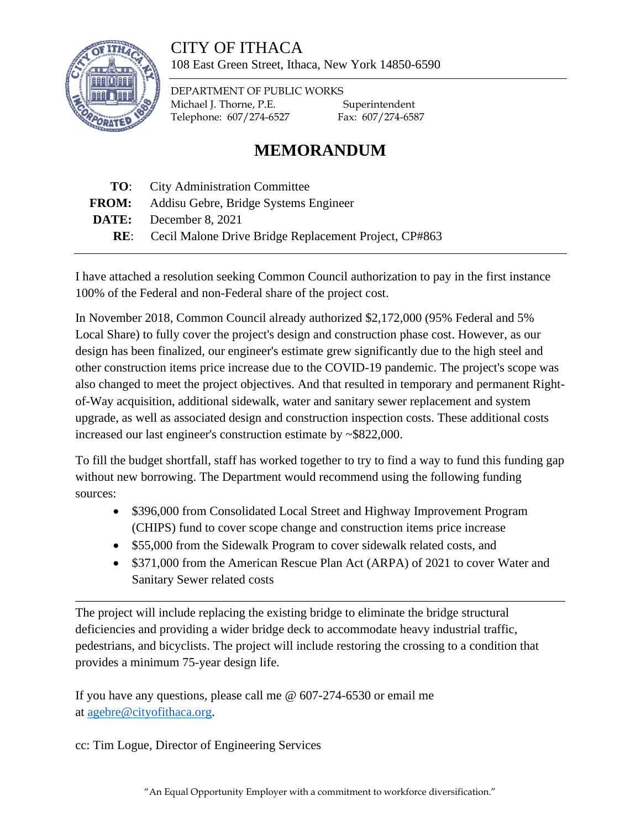# CITY OF ITHACA



108 East Green Street, Ithaca, New York 14850-6590

DEPARTMENT OF PUBLIC WORKS Michael J. Thorne, P.E. Superintendent Telephone: 607/274-6527 Fax: 607/274-6587

# **MEMORANDUM**

- **TO**: City Administration Committee
- **FROM:** Addisu Gebre, Bridge Systems Engineer
- **DATE:** December 8, 2021
	- **RE**: Cecil Malone Drive Bridge Replacement Project, CP#863

I have attached a resolution seeking Common Council authorization to pay in the first instance 100% of the Federal and non-Federal share of the project cost.

In November 2018, Common Council already authorized \$2,172,000 (95% Federal and 5% Local Share) to fully cover the project's design and construction phase cost. However, as our design has been finalized, our engineer's estimate grew significantly due to the high steel and other construction items price increase due to the COVID-19 pandemic. The project's scope was also changed to meet the project objectives. And that resulted in temporary and permanent Rightof-Way acquisition, additional sidewalk, water and sanitary sewer replacement and system upgrade, as well as associated design and construction inspection costs. These additional costs increased our last engineer's construction estimate by ~\$822,000.

To fill the budget shortfall, staff has worked together to try to find a way to fund this funding gap without new borrowing. The Department would recommend using the following funding sources:

• \$396,000 from Consolidated Local Street and Highway Improvement Program (CHIPS) fund to cover scope change and construction items price increase

\_\_\_\_\_\_\_\_\_\_\_\_\_\_\_\_\_\_\_\_\_\_\_\_\_\_\_\_\_\_\_\_\_\_\_\_\_\_\_\_\_\_\_\_\_\_\_\_\_\_\_\_\_\_\_\_\_\_\_\_\_\_\_\_\_\_\_\_\_\_\_\_\_\_\_\_\_\_

- \$55,000 from the Sidewalk Program to cover sidewalk related costs, and
- \$371,000 from the American Rescue Plan Act (ARPA) of 2021 to cover Water and Sanitary Sewer related costs

The project will include replacing the existing bridge to eliminate the bridge structural deficiencies and providing a wider bridge deck to accommodate heavy industrial traffic, pedestrians, and bicyclists. The project will include restoring the crossing to a condition that provides a minimum 75-year design life.

If you have any questions, please call me @ 607-274-6530 or email me at [agebre@cityofithaca.org.](mailto:agebre@cityofithaca.org)

cc: Tim Logue, Director of Engineering Services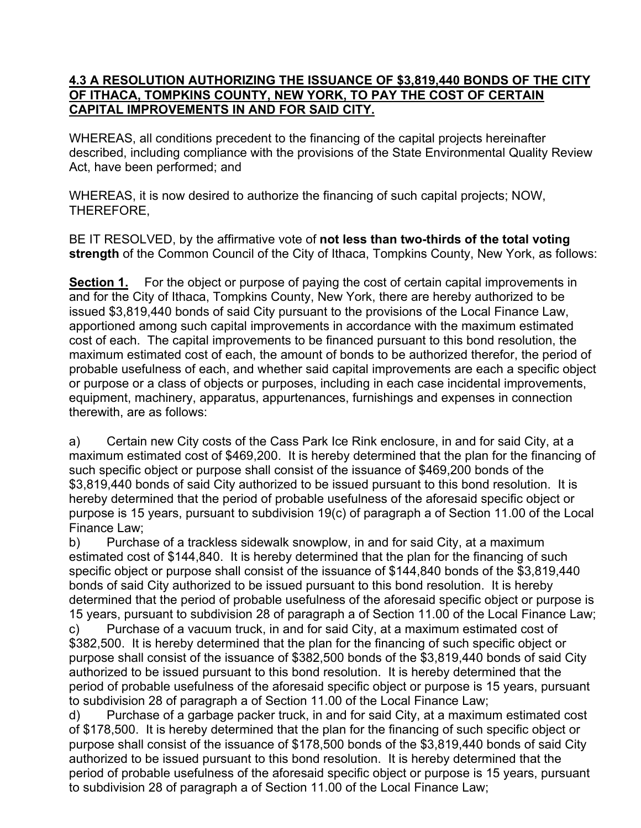### **4.3 A RESOLUTION AUTHORIZING THE ISSUANCE OF \$3,819,440 BONDS OF THE CITY OF ITHACA, TOMPKINS COUNTY, NEW YORK, TO PAY THE COST OF CERTAIN CAPITAL IMPROVEMENTS IN AND FOR SAID CITY.**

WHEREAS, all conditions precedent to the financing of the capital projects hereinafter described, including compliance with the provisions of the State Environmental Quality Review Act, have been performed; and

WHEREAS, it is now desired to authorize the financing of such capital projects; NOW, THEREFORE,

BE IT RESOLVED, by the affirmative vote of **not less than two-thirds of the total voting strength** of the Common Council of the City of Ithaca, Tompkins County, New York, as follows:

**Section 1.** For the object or purpose of paying the cost of certain capital improvements in and for the City of Ithaca, Tompkins County, New York, there are hereby authorized to be issued \$3,819,440 bonds of said City pursuant to the provisions of the Local Finance Law, apportioned among such capital improvements in accordance with the maximum estimated cost of each. The capital improvements to be financed pursuant to this bond resolution, the maximum estimated cost of each, the amount of bonds to be authorized therefor, the period of probable usefulness of each, and whether said capital improvements are each a specific object or purpose or a class of objects or purposes, including in each case incidental improvements, equipment, machinery, apparatus, appurtenances, furnishings and expenses in connection therewith, are as follows:

a) Certain new City costs of the Cass Park Ice Rink enclosure, in and for said City, at a maximum estimated cost of \$469,200. It is hereby determined that the plan for the financing of such specific object or purpose shall consist of the issuance of \$469,200 bonds of the \$3,819,440 bonds of said City authorized to be issued pursuant to this bond resolution. It is hereby determined that the period of probable usefulness of the aforesaid specific object or purpose is 15 years, pursuant to subdivision 19(c) of paragraph a of Section 11.00 of the Local Finance Law;

b) Purchase of a trackless sidewalk snowplow, in and for said City, at a maximum estimated cost of \$144,840. It is hereby determined that the plan for the financing of such specific object or purpose shall consist of the issuance of \$144,840 bonds of the \$3,819,440 bonds of said City authorized to be issued pursuant to this bond resolution. It is hereby determined that the period of probable usefulness of the aforesaid specific object or purpose is 15 years, pursuant to subdivision 28 of paragraph a of Section 11.00 of the Local Finance Law;

c) Purchase of a vacuum truck, in and for said City, at a maximum estimated cost of \$382,500. It is hereby determined that the plan for the financing of such specific object or purpose shall consist of the issuance of \$382,500 bonds of the \$3,819,440 bonds of said City authorized to be issued pursuant to this bond resolution. It is hereby determined that the period of probable usefulness of the aforesaid specific object or purpose is 15 years, pursuant to subdivision 28 of paragraph a of Section 11.00 of the Local Finance Law;

d) Purchase of a garbage packer truck, in and for said City, at a maximum estimated cost of \$178,500. It is hereby determined that the plan for the financing of such specific object or purpose shall consist of the issuance of \$178,500 bonds of the \$3,819,440 bonds of said City authorized to be issued pursuant to this bond resolution. It is hereby determined that the period of probable usefulness of the aforesaid specific object or purpose is 15 years, pursuant to subdivision 28 of paragraph a of Section 11.00 of the Local Finance Law;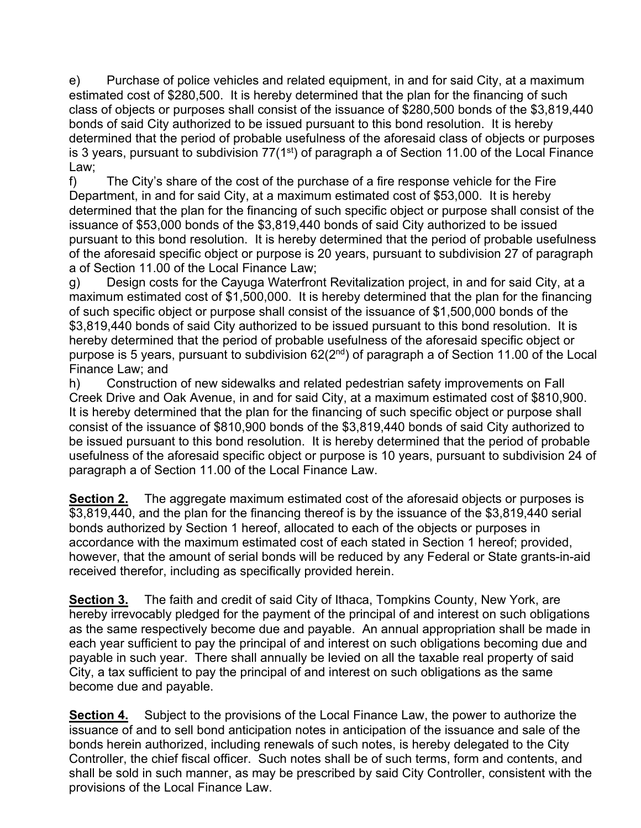e) Purchase of police vehicles and related equipment, in and for said City, at a maximum estimated cost of \$280,500. It is hereby determined that the plan for the financing of such class of objects or purposes shall consist of the issuance of \$280,500 bonds of the \$3,819,440 bonds of said City authorized to be issued pursuant to this bond resolution. It is hereby determined that the period of probable usefulness of the aforesaid class of objects or purposes is 3 years, pursuant to subdivision  $77(1^{st})$  of paragraph a of Section 11.00 of the Local Finance Law;

f) The City's share of the cost of the purchase of a fire response vehicle for the Fire Department, in and for said City, at a maximum estimated cost of \$53,000. It is hereby determined that the plan for the financing of such specific object or purpose shall consist of the issuance of \$53,000 bonds of the \$3,819,440 bonds of said City authorized to be issued pursuant to this bond resolution. It is hereby determined that the period of probable usefulness of the aforesaid specific object or purpose is 20 years, pursuant to subdivision 27 of paragraph a of Section 11.00 of the Local Finance Law;

g) Design costs for the Cayuga Waterfront Revitalization project, in and for said City, at a maximum estimated cost of \$1,500,000. It is hereby determined that the plan for the financing of such specific object or purpose shall consist of the issuance of \$1,500,000 bonds of the \$3,819,440 bonds of said City authorized to be issued pursuant to this bond resolution. It is hereby determined that the period of probable usefulness of the aforesaid specific object or purpose is 5 years, pursuant to subdivision  $62(2^{nd})$  of paragraph a of Section 11.00 of the Local Finance Law; and

h) Construction of new sidewalks and related pedestrian safety improvements on Fall Creek Drive and Oak Avenue, in and for said City, at a maximum estimated cost of \$810,900. It is hereby determined that the plan for the financing of such specific object or purpose shall consist of the issuance of \$810,900 bonds of the \$3,819,440 bonds of said City authorized to be issued pursuant to this bond resolution. It is hereby determined that the period of probable usefulness of the aforesaid specific object or purpose is 10 years, pursuant to subdivision 24 of paragraph a of Section 11.00 of the Local Finance Law.

**Section 2.** The aggregate maximum estimated cost of the aforesaid objects or purposes is \$3,819,440, and the plan for the financing thereof is by the issuance of the \$3,819,440 serial bonds authorized by Section 1 hereof, allocated to each of the objects or purposes in accordance with the maximum estimated cost of each stated in Section 1 hereof; provided, however, that the amount of serial bonds will be reduced by any Federal or State grants-in-aid received therefor, including as specifically provided herein.

**Section 3.** The faith and credit of said City of Ithaca, Tompkins County, New York, are hereby irrevocably pledged for the payment of the principal of and interest on such obligations as the same respectively become due and payable. An annual appropriation shall be made in each year sufficient to pay the principal of and interest on such obligations becoming due and payable in such year. There shall annually be levied on all the taxable real property of said City, a tax sufficient to pay the principal of and interest on such obligations as the same become due and payable.

**Section 4.** Subject to the provisions of the Local Finance Law, the power to authorize the issuance of and to sell bond anticipation notes in anticipation of the issuance and sale of the bonds herein authorized, including renewals of such notes, is hereby delegated to the City Controller, the chief fiscal officer. Such notes shall be of such terms, form and contents, and shall be sold in such manner, as may be prescribed by said City Controller, consistent with the provisions of the Local Finance Law.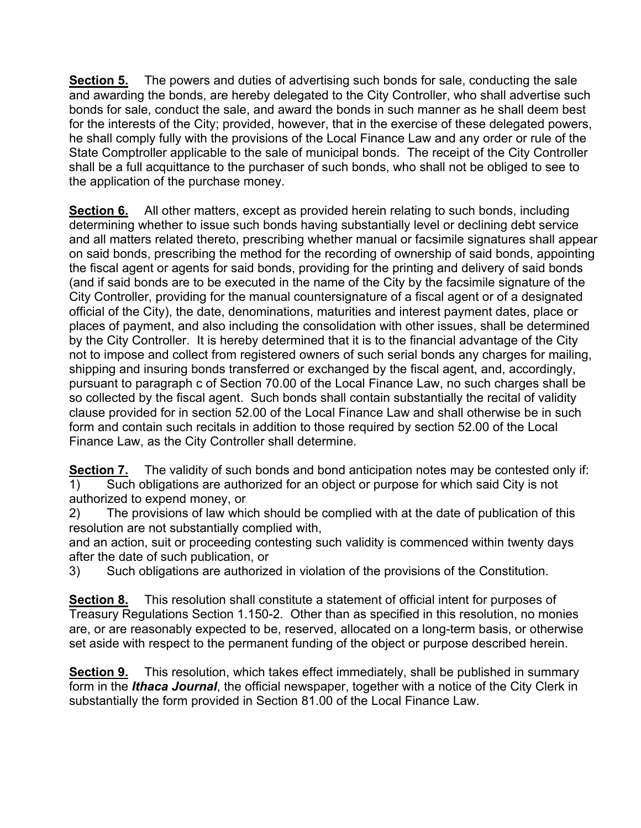**Section 5.** The powers and duties of advertising such bonds for sale, conducting the sale and awarding the bonds, are hereby delegated to the City Controller, who shall advertise such bonds for sale, conduct the sale, and award the bonds in such manner as he shall deem best for the interests of the City; provided, however, that in the exercise of these delegated powers, he shall comply fully with the provisions of the Local Finance Law and any order or rule of the State Comptroller applicable to the sale of municipal bonds. The receipt of the City Controller shall be a full acquittance to the purchaser of such bonds, who shall not be obliged to see to the application of the purchase money.

**Section 6.** All other matters, except as provided herein relating to such bonds, including determining whether to issue such bonds having substantially level or declining debt service and all matters related thereto, prescribing whether manual or facsimile signatures shall appear on said bonds, prescribing the method for the recording of ownership of said bonds, appointing the fiscal agent or agents for said bonds, providing for the printing and delivery of said bonds (and if said bonds are to be executed in the name of the City by the facsimile signature of the City Controller, providing for the manual countersignature of a fiscal agent or of a designated official of the City), the date, denominations, maturities and interest payment dates, place or places of payment, and also including the consolidation with other issues, shall be determined by the City Controller. It is hereby determined that it is to the financial advantage of the City not to impose and collect from registered owners of such serial bonds any charges for mailing, shipping and insuring bonds transferred or exchanged by the fiscal agent, and, accordingly, pursuant to paragraph c of Section 70.00 of the Local Finance Law, no such charges shall be so collected by the fiscal agent. Such bonds shall contain substantially the recital of validity clause provided for in section 52.00 of the Local Finance Law and shall otherwise be in such form and contain such recitals in addition to those required by section 52.00 of the Local Finance Law, as the City Controller shall determine.

**Section 7.** The validity of such bonds and bond anticipation notes may be contested only if: 1) Such obligations are authorized for an object or purpose for which said City is not authorized to expend money, or

2) The provisions of law which should be complied with at the date of publication of this resolution are not substantially complied with,

and an action, suit or proceeding contesting such validity is commenced within twenty days after the date of such publication, or

3) Such obligations are authorized in violation of the provisions of the Constitution.

**Section 8.** This resolution shall constitute a statement of official intent for purposes of Treasury Regulations Section 1.150-2. Other than as specified in this resolution, no monies are, or are reasonably expected to be, reserved, allocated on a long-term basis, or otherwise set aside with respect to the permanent funding of the object or purpose described herein.

**Section 9.** This resolution, which takes effect immediately, shall be published in summary form in the *Ithaca Journal*, the official newspaper, together with a notice of the City Clerk in substantially the form provided in Section 81.00 of the Local Finance Law.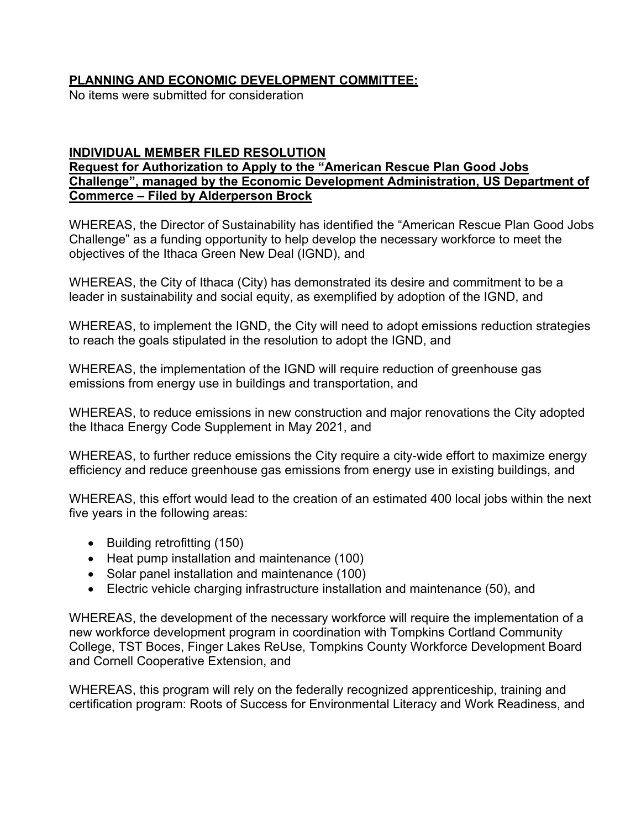# **PLANNING AND ECONOMIC DEVELOPMENT COMMITTEE:**

No items were submitted for consideration

# **INDIVIDUAL MEMBER FILED RESOLUTION**

# **Request for Authorization to Apply to the "American Rescue Plan Good Jobs Challenge", managed by the Economic Development Administration, US Department of Commerce – Filed by Alderperson Brock**

WHEREAS, the Director of Sustainability has identified the "American Rescue Plan Good Jobs Challenge" as a funding opportunity to help develop the necessary workforce to meet the objectives of the Ithaca Green New Deal (IGND), and

WHEREAS, the City of Ithaca (City) has demonstrated its desire and commitment to be a leader in sustainability and social equity, as exemplified by adoption of the IGND, and

WHEREAS, to implement the IGND, the City will need to adopt emissions reduction strategies to reach the goals stipulated in the resolution to adopt the IGND, and

WHEREAS, the implementation of the IGND will require reduction of greenhouse gas emissions from energy use in buildings and transportation, and

WHEREAS, to reduce emissions in new construction and major renovations the City adopted the Ithaca Energy Code Supplement in May 2021, and

WHEREAS, to further reduce emissions the City require a city-wide effort to maximize energy efficiency and reduce greenhouse gas emissions from energy use in existing buildings, and

WHEREAS, this effort would lead to the creation of an estimated 400 local jobs within the next five years in the following areas:

- Building retrofitting (150)
- Heat pump installation and maintenance (100)
- Solar panel installation and maintenance (100)
- Electric vehicle charging infrastructure installation and maintenance (50), and

WHEREAS, the development of the necessary workforce will require the implementation of a new workforce development program in coordination with Tompkins Cortland Community College, TST Boces, Finger Lakes ReUse, Tompkins County Workforce Development Board and Cornell Cooperative Extension, and

WHEREAS, this program will rely on the federally recognized apprenticeship, training and certification program: Roots of Success for Environmental Literacy and Work Readiness, and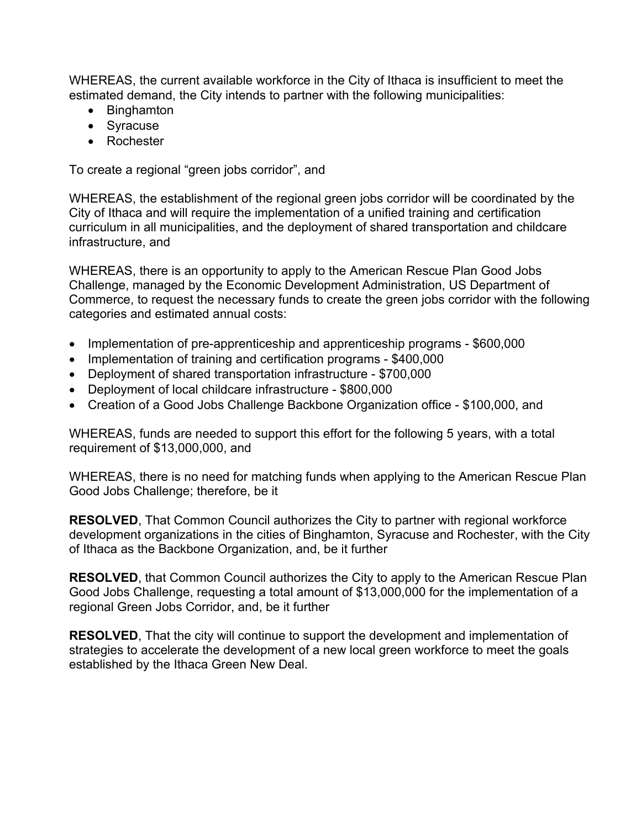WHEREAS, the current available workforce in the City of Ithaca is insufficient to meet the estimated demand, the City intends to partner with the following municipalities:

- Binghamton
- Syracuse
- Rochester

To create a regional "green jobs corridor", and

WHEREAS, the establishment of the regional green jobs corridor will be coordinated by the City of Ithaca and will require the implementation of a unified training and certification curriculum in all municipalities, and the deployment of shared transportation and childcare infrastructure, and

WHEREAS, there is an opportunity to apply to the American Rescue Plan Good Jobs Challenge, managed by the Economic Development Administration, US Department of Commerce, to request the necessary funds to create the green jobs corridor with the following categories and estimated annual costs:

- Implementation of pre-apprenticeship and apprenticeship programs \$600,000
- Implementation of training and certification programs \$400,000
- Deployment of shared transportation infrastructure \$700,000
- Deployment of local childcare infrastructure \$800,000
- Creation of a Good Jobs Challenge Backbone Organization office \$100,000, and

WHEREAS, funds are needed to support this effort for the following 5 years, with a total requirement of \$13,000,000, and

WHEREAS, there is no need for matching funds when applying to the American Rescue Plan Good Jobs Challenge; therefore, be it

**RESOLVED**, That Common Council authorizes the City to partner with regional workforce development organizations in the cities of Binghamton, Syracuse and Rochester, with the City of Ithaca as the Backbone Organization, and, be it further

**RESOLVED**, that Common Council authorizes the City to apply to the American Rescue Plan Good Jobs Challenge, requesting a total amount of \$13,000,000 for the implementation of a regional Green Jobs Corridor, and, be it further

**RESOLVED**, That the city will continue to support the development and implementation of strategies to accelerate the development of a new local green workforce to meet the goals established by the Ithaca Green New Deal.